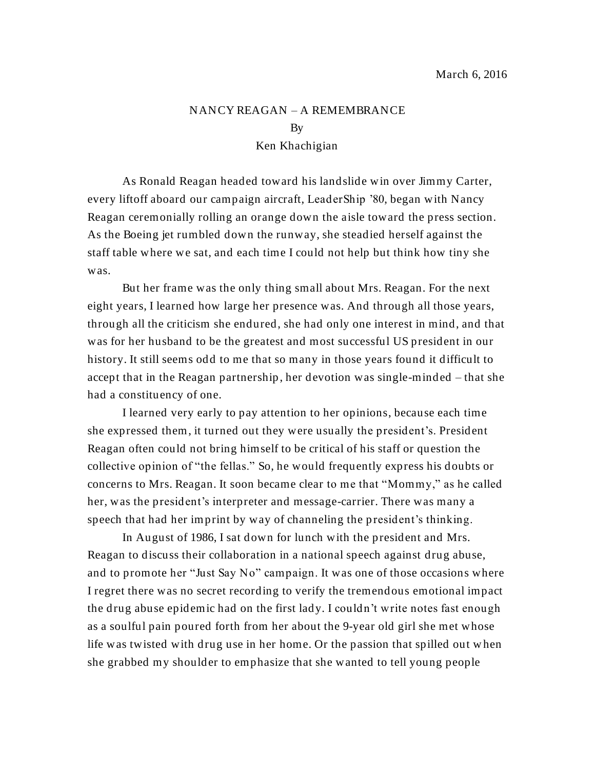## NANCY REAGAN – A REMEMBRANCE By Ken Khachigian

As Ronald Reagan headed toward his landslide win over Jimmy Carter, every liftoff aboard our campaign aircraft, LeaderShip '80, began with Nancy Reagan ceremonially rolling an orange down the aisle toward the press section. As the Boeing jet rumbled down the runway, she steadied herself against the staff table where we sat, and each time I could not help but think how tiny she was.

But her frame was the only thing small about Mrs. Reagan. For the next eight years, I learned how large her presence was. And through all those years, through all the criticism she endured, she had only one interest in mind, and that was for her husband to be the greatest and most successful US president in our history. It still seems odd to me that so many in those years found it difficult to accept that in the Reagan partnership, her devotion was single-minded – that she had a constituency of one.

I learned very early to pay attention to her opinions, because each time she expressed them, it turned out they were usually the president's. President Reagan often could not bring himself to be critical of his staff or question the collective opinion of "the fellas." So, he would frequently express his doubts or concerns to Mrs. Reagan. It soon became clear to me that "Mommy," as he called her, was the president's interpreter and message-carrier. There was many a speech that had her imprint by way of channeling the president's thinking.

In August of 1986, I sat down for lunch with the president and Mrs. Reagan to discuss their collaboration in a national speech against drug abuse, and to promote her "Just Say No" campaign. It was one of those occasions where I regret there was no secret recording to verify the tremendous emotional impact the drug abuse epidemic had on the first lady. I couldn't write notes fast enough as a soulful pain poured forth from her about the 9-year old girl she met whose life was twisted with drug use in her home. Or the passion that spilled out when she grabbed my shoulder to emphasize that she wanted to tell young people